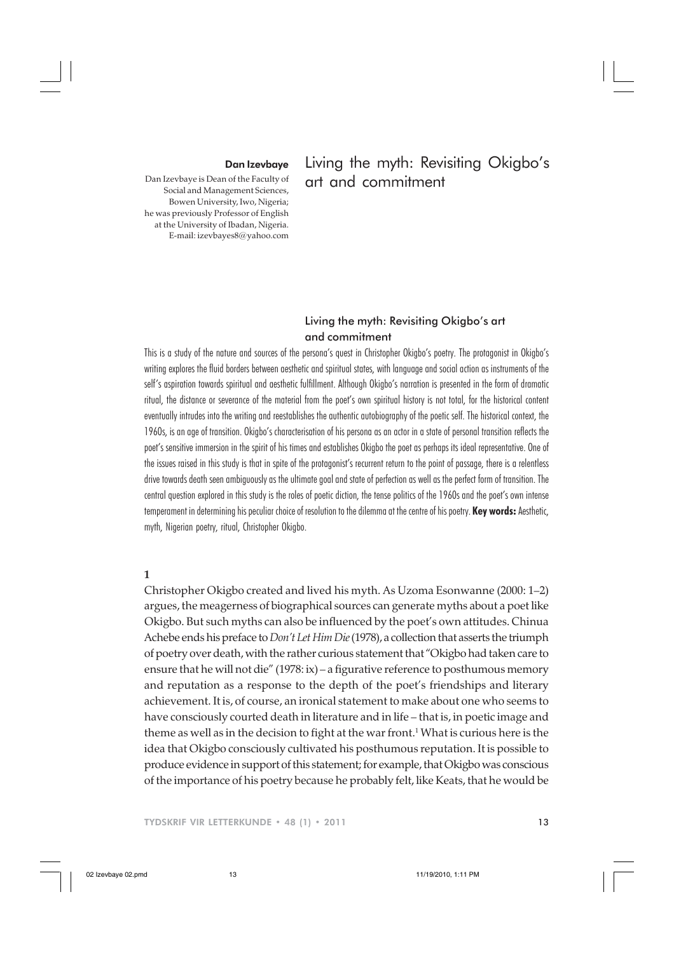#### Dan Izevbaye

Dan Izevbaye is Dean of the Faculty of Social and Management Sciences, Bowen University, Iwo, Nigeria; he was previously Professor of English at the University of Ibadan, Nigeria. E-mail: izevbayes8@yahoo.com

# Living the myth: Revisiting Okigbo's art and commitment

## Living the myth: Revisiting Okigbo's art and commitment

This is a study of the nature and sources of the persona's quest in Christopher Okigbo's poetry. The protagonist in Okigbo's writing explores the fluid borders between aesthetic and spiritual states, with language and social action as instruments of the self's aspiration towards spiritual and aesthetic fulfillment. Although Okigbo's narration is presented in the form of dramatic ritual, the distance or severance of the material from the poet's own spiritual history is not total, for the historical content eventually intrudes into the writing and reestablishes the authentic autobiography of the poetic self. The historical context, the 1960s, is an age of transition. Okigbo's characterisation of his persona as an actor in a state of personal transition reflects the poet's sensitive immersion in the spirit of his times and establishes Okigbo the poet as perhaps its ideal representative. One of the issues raised in this study is that in spite of the protagonist's recurrent return to the point of passage, there is a relentless drive towards death seen ambiguously as the ultimate goal and state of perfection as well as the perfect form of transition. The central question explored in this study is the roles of poetic diction, the tense politics of the 1960s and the poet's own intense temperament in determining his peculiar choice of resolution to the dilemma at the centre of his poetry. **Key words:** Aesthetic, myth, Nigerian poetry, ritual, Christopher Okigbo.

#### **1**

Christopher Okigbo created and lived his myth. As Uzoma Esonwanne (2000: 1–2) argues, the meagerness of biographical sources can generate myths about a poet like Okigbo. But such myths can also be influenced by the poet's own attitudes. Chinua Achebe ends his preface to *Don't Let Him Die* (1978), a collection that asserts the triumph of poetry over death, with the rather curious statement that "Okigbo had taken care to ensure that he will not die" (1978: ix) – a figurative reference to posthumous memory and reputation as a response to the depth of the poet's friendships and literary achievement. It is, of course, an ironical statement to make about one who seems to have consciously courted death in literature and in life – that is, in poetic image and theme as well as in the decision to fight at the war front. $^1$  What is curious here is the idea that Okigbo consciously cultivated his posthumous reputation. It is possible to produce evidence in support of this statement; for example, that Okigbo was conscious of the importance of his poetry because he probably felt, like Keats, that he would be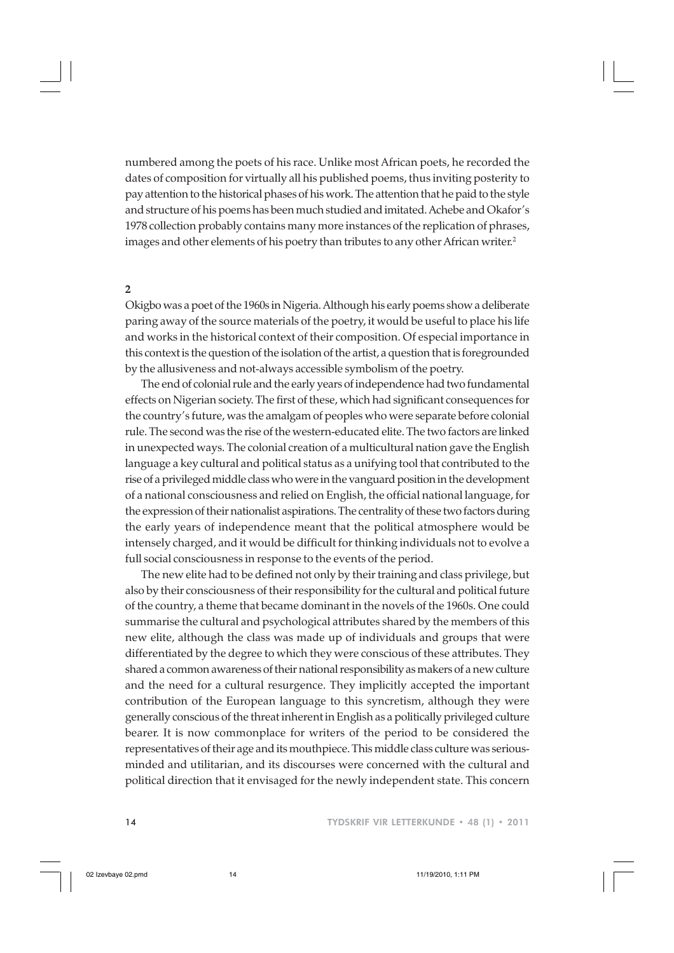numbered among the poets of his race. Unlike most African poets, he recorded the dates of composition for virtually all his published poems, thus inviting posterity to pay attention to the historical phases of his work. The attention that he paid to the style and structure of his poems has been much studied and imitated. Achebe and Okafor's 1978 collection probably contains many more instances of the replication of phrases, images and other elements of his poetry than tributes to any other African writer.<sup>2</sup>

### **2**

Okigbo was a poet of the 1960s in Nigeria. Although his early poems show a deliberate paring away of the source materials of the poetry, it would be useful to place his life and works in the historical context of their composition. Of especial importance in this context is the question of the isolation of the artist, a question that is foregrounded by the allusiveness and not-always accessible symbolism of the poetry.

The end of colonial rule and the early years of independence had two fundamental effects on Nigerian society. The first of these, which had significant consequences for the country's future, was the amalgam of peoples who were separate before colonial rule. The second was the rise of the western-educated elite. The two factors are linked in unexpected ways. The colonial creation of a multicultural nation gave the English language a key cultural and political status as a unifying tool that contributed to the rise of a privileged middle class who were in the vanguard position in the development of a national consciousness and relied on English, the official national language, for the expression of their nationalist aspirations. The centrality of these two factors during the early years of independence meant that the political atmosphere would be intensely charged, and it would be difficult for thinking individuals not to evolve a full social consciousness in response to the events of the period.

The new elite had to be defined not only by their training and class privilege, but also by their consciousness of their responsibility for the cultural and political future of the country, a theme that became dominant in the novels of the 1960s. One could summarise the cultural and psychological attributes shared by the members of this new elite, although the class was made up of individuals and groups that were differentiated by the degree to which they were conscious of these attributes. They shared a common awareness of their national responsibility as makers of a new culture and the need for a cultural resurgence. They implicitly accepted the important contribution of the European language to this syncretism, although they were generally conscious of the threat inherent in English as a politically privileged culture bearer. It is now commonplace for writers of the period to be considered the representatives of their age and its mouthpiece. This middle class culture was seriousminded and utilitarian, and its discourses were concerned with the cultural and political direction that it envisaged for the newly independent state. This concern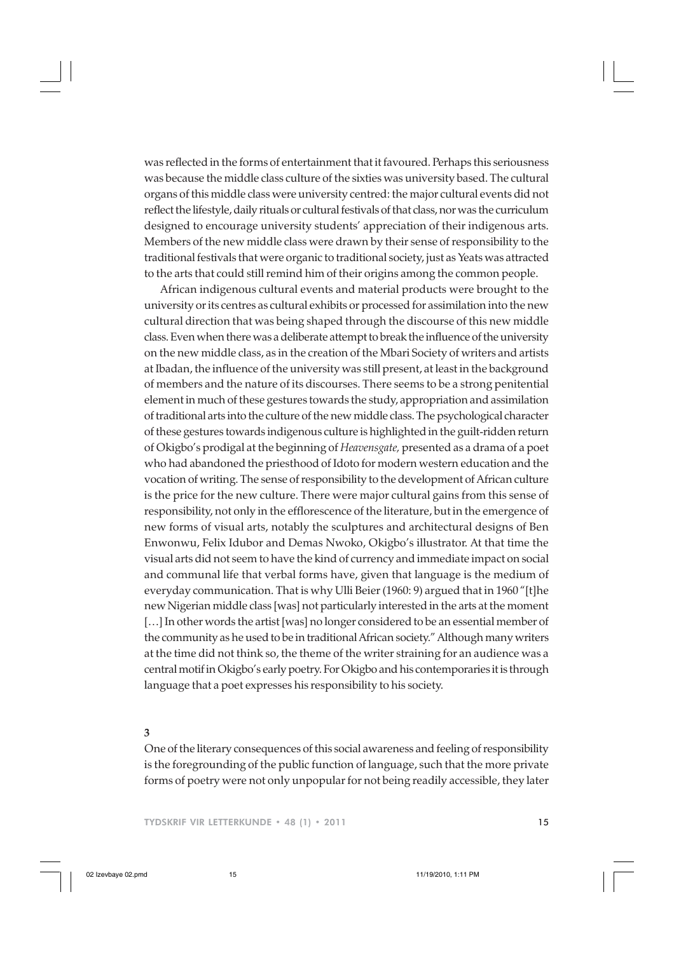was reflected in the forms of entertainment that it favoured. Perhaps this seriousness was because the middle class culture of the sixties was university based. The cultural organs of this middle class were university centred: the major cultural events did not reflect the lifestyle, daily rituals or cultural festivals of that class, nor was the curriculum designed to encourage university students' appreciation of their indigenous arts. Members of the new middle class were drawn by their sense of responsibility to the traditional festivals that were organic to traditional society, just as Yeats was attracted to the arts that could still remind him of their origins among the common people.

African indigenous cultural events and material products were brought to the university or its centres as cultural exhibits or processed for assimilation into the new cultural direction that was being shaped through the discourse of this new middle class. Even when there was a deliberate attempt to break the influence of the university on the new middle class, as in the creation of the Mbari Society of writers and artists at Ibadan, the influence of the university was still present, at least in the background of members and the nature of its discourses. There seems to be a strong penitential element in much of these gestures towards the study, appropriation and assimilation of traditional arts into the culture of the new middle class. The psychological character of these gestures towards indigenous culture is highlighted in the guilt-ridden return of Okigbo's prodigal at the beginning of *Heavensgate,* presented as a drama of a poet who had abandoned the priesthood of Idoto for modern western education and the vocation of writing. The sense of responsibility to the development of African culture is the price for the new culture. There were major cultural gains from this sense of responsibility, not only in the efflorescence of the literature, but in the emergence of new forms of visual arts, notably the sculptures and architectural designs of Ben Enwonwu, Felix Idubor and Demas Nwoko, Okigbo's illustrator. At that time the visual arts did not seem to have the kind of currency and immediate impact on social and communal life that verbal forms have, given that language is the medium of everyday communication. That is why Ulli Beier (1960: 9) argued that in 1960 "[t]he new Nigerian middle class [was] not particularly interested in the arts at the moment [...] In other words the artist [was] no longer considered to be an essential member of the community as he used to be in traditional African society." Although many writers at the time did not think so, the theme of the writer straining for an audience was a central motif in Okigbo's early poetry. For Okigbo and his contemporaries it is through language that a poet expresses his responsibility to his society.

#### **3**

One of the literary consequences of this social awareness and feeling of responsibility is the foregrounding of the public function of language, such that the more private forms of poetry were not only unpopular for not being readily accessible, they later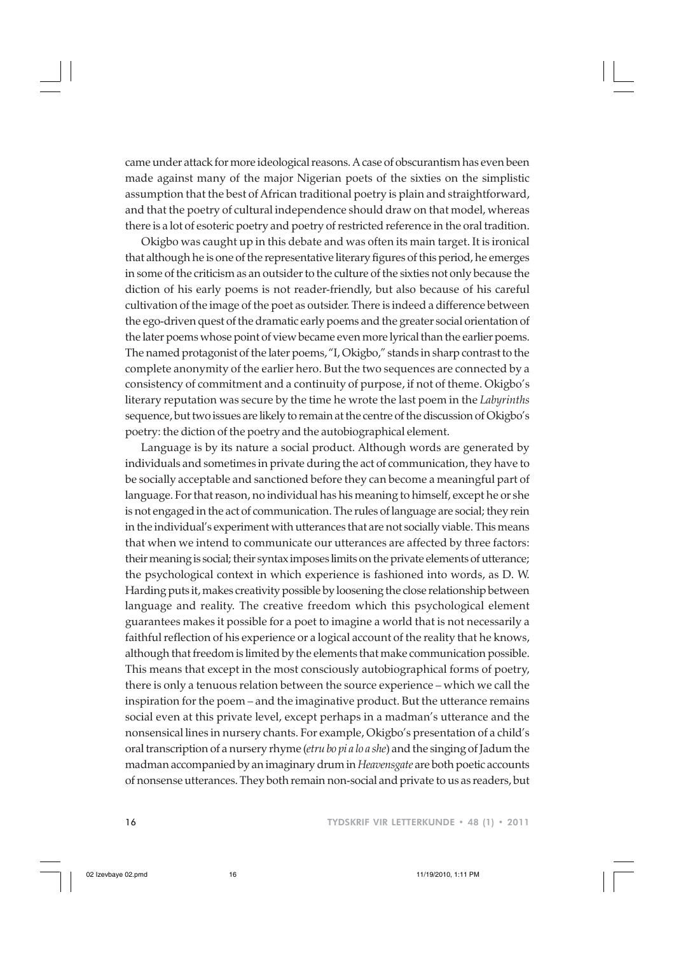came under attack for more ideological reasons. A case of obscurantism has even been made against many of the major Nigerian poets of the sixties on the simplistic assumption that the best of African traditional poetry is plain and straightforward, and that the poetry of cultural independence should draw on that model, whereas there is a lot of esoteric poetry and poetry of restricted reference in the oral tradition.

Okigbo was caught up in this debate and was often its main target. It is ironical that although he is one of the representative literary figures of this period, he emerges in some of the criticism as an outsider to the culture of the sixties not only because the diction of his early poems is not reader-friendly, but also because of his careful cultivation of the image of the poet as outsider. There is indeed a difference between the ego-driven quest of the dramatic early poems and the greater social orientation of the later poems whose point of view became even more lyrical than the earlier poems. The named protagonist of the later poems, "I, Okigbo," stands in sharp contrast to the complete anonymity of the earlier hero. But the two sequences are connected by a consistency of commitment and a continuity of purpose, if not of theme. Okigbo's literary reputation was secure by the time he wrote the last poem in the *Labyrinths* sequence, but two issues are likely to remain at the centre of the discussion of Okigbo's poetry: the diction of the poetry and the autobiographical element.

Language is by its nature a social product. Although words are generated by individuals and sometimes in private during the act of communication, they have to be socially acceptable and sanctioned before they can become a meaningful part of language. For that reason, no individual has his meaning to himself, except he or she is not engaged in the act of communication. The rules of language are social; they rein in the individual's experiment with utterances that are not socially viable. This means that when we intend to communicate our utterances are affected by three factors: their meaning is social; their syntax imposes limits on the private elements of utterance; the psychological context in which experience is fashioned into words, as D. W. Harding puts it, makes creativity possible by loosening the close relationship between language and reality. The creative freedom which this psychological element guarantees makes it possible for a poet to imagine a world that is not necessarily a faithful reflection of his experience or a logical account of the reality that he knows, although that freedom is limited by the elements that make communication possible. This means that except in the most consciously autobiographical forms of poetry, there is only a tenuous relation between the source experience – which we call the inspiration for the poem – and the imaginative product. But the utterance remains social even at this private level, except perhaps in a madman's utterance and the nonsensical lines in nursery chants. For example, Okigbo's presentation of a child's oral transcription of a nursery rhyme (*etru bo pi a lo a she*) and the singing of Jadum the madman accompanied by an imaginary drum in *Heavensgate* are both poetic accounts of nonsense utterances. They both remain non-social and private to us as readers, but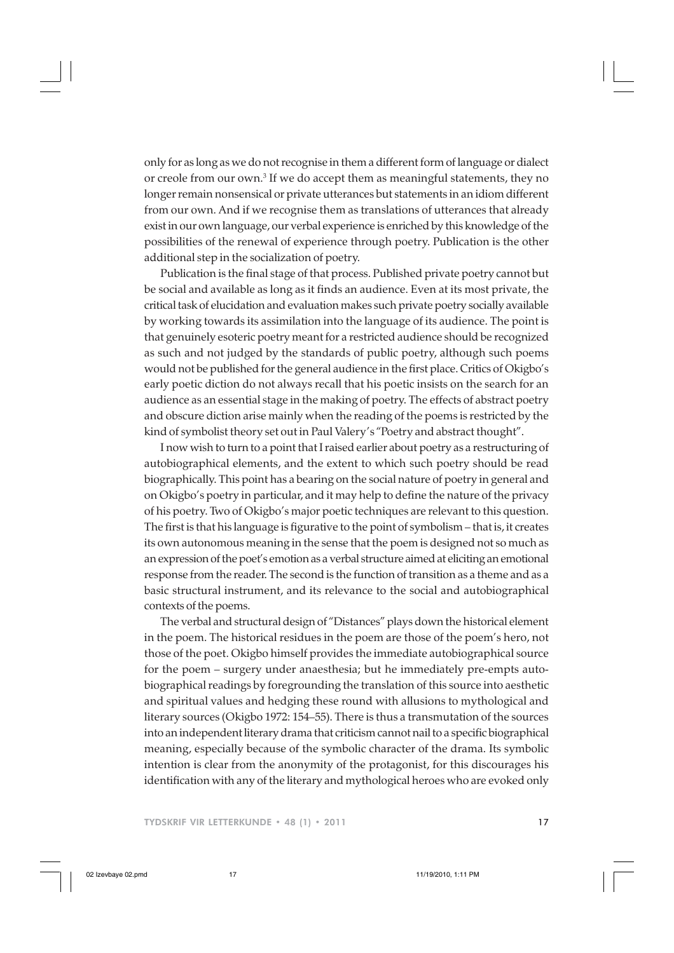only for as long as we do not recognise in them a different form of language or dialect or creole from our own.3 If we do accept them as meaningful statements, they no longer remain nonsensical or private utterances but statements in an idiom different from our own. And if we recognise them as translations of utterances that already exist in our own language, our verbal experience is enriched by this knowledge of the possibilities of the renewal of experience through poetry. Publication is the other additional step in the socialization of poetry.

Publication is the final stage of that process. Published private poetry cannot but be social and available as long as it finds an audience. Even at its most private, the critical task of elucidation and evaluation makes such private poetry socially available by working towards its assimilation into the language of its audience. The point is that genuinely esoteric poetry meant for a restricted audience should be recognized as such and not judged by the standards of public poetry, although such poems would not be published for the general audience in the first place. Critics of Okigbo's early poetic diction do not always recall that his poetic insists on the search for an audience as an essential stage in the making of poetry. The effects of abstract poetry and obscure diction arise mainly when the reading of the poems is restricted by the kind of symbolist theory set out in Paul Valery's "Poetry and abstract thought".

I now wish to turn to a point that I raised earlier about poetry as a restructuring of autobiographical elements, and the extent to which such poetry should be read biographically. This point has a bearing on the social nature of poetry in general and on Okigbo's poetry in particular, and it may help to define the nature of the privacy of his poetry. Two of Okigbo's major poetic techniques are relevant to this question. The first is that his language is figurative to the point of symbolism – that is, it creates its own autonomous meaning in the sense that the poem is designed not so much as an expression of the poet's emotion as a verbal structure aimed at eliciting an emotional response from the reader. The second is the function of transition as a theme and as a basic structural instrument, and its relevance to the social and autobiographical contexts of the poems.

The verbal and structural design of "Distances" plays down the historical element in the poem. The historical residues in the poem are those of the poem's hero, not those of the poet. Okigbo himself provides the immediate autobiographical source for the poem – surgery under anaesthesia; but he immediately pre-empts autobiographical readings by foregrounding the translation of this source into aesthetic and spiritual values and hedging these round with allusions to mythological and literary sources (Okigbo 1972: 154–55). There is thus a transmutation of the sources into an independent literary drama that criticism cannot nail to a specific biographical meaning, especially because of the symbolic character of the drama. Its symbolic intention is clear from the anonymity of the protagonist, for this discourages his identification with any of the literary and mythological heroes who are evoked only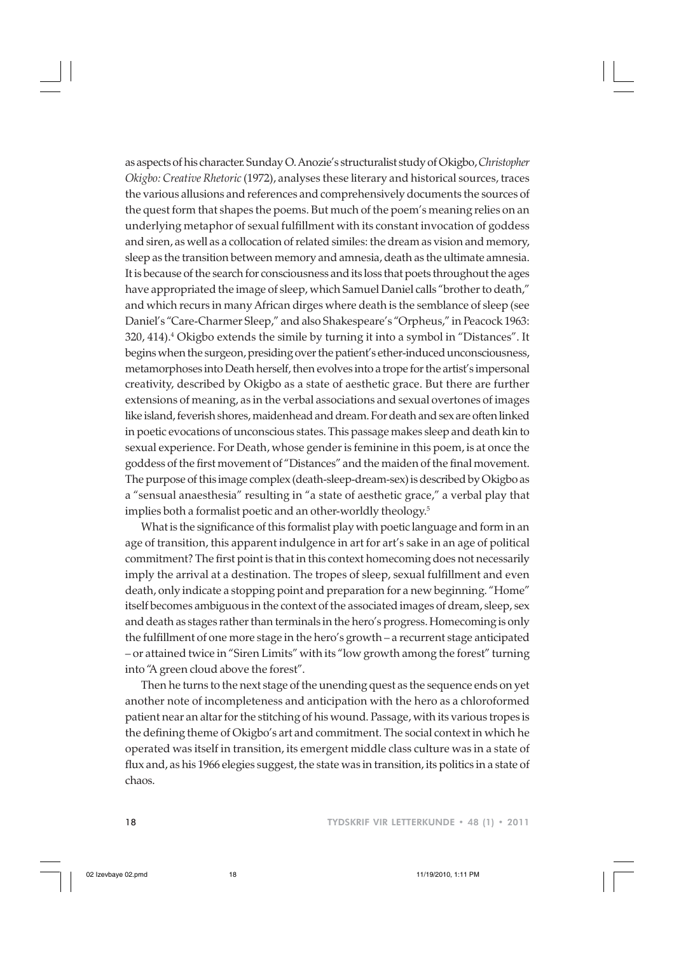as aspects of his character. Sunday O. Anozie's structuralist study of Okigbo, *Christopher Okigbo: Creative Rhetoric* (1972), analyses these literary and historical sources, traces the various allusions and references and comprehensively documents the sources of the quest form that shapes the poems. But much of the poem's meaning relies on an underlying metaphor of sexual fulfillment with its constant invocation of goddess and siren, as well as a collocation of related similes: the dream as vision and memory, sleep as the transition between memory and amnesia, death as the ultimate amnesia. It is because of the search for consciousness and its loss that poets throughout the ages have appropriated the image of sleep, which Samuel Daniel calls "brother to death," and which recurs in many African dirges where death is the semblance of sleep (see Daniel's "Care-Charmer Sleep," and also Shakespeare's "Orpheus," in Peacock 1963: 320, 414).<sup>4</sup> Okigbo extends the simile by turning it into a symbol in "Distances". It begins when the surgeon, presiding over the patient's ether-induced unconsciousness, metamorphoses into Death herself, then evolves into a trope for the artist's impersonal creativity, described by Okigbo as a state of aesthetic grace. But there are further extensions of meaning, as in the verbal associations and sexual overtones of images like island, feverish shores, maidenhead and dream. For death and sex are often linked in poetic evocations of unconscious states. This passage makes sleep and death kin to sexual experience. For Death, whose gender is feminine in this poem, is at once the goddess of the first movement of "Distances" and the maiden of the final movement. The purpose of this image complex (death-sleep-dream-sex) is described by Okigbo as a "sensual anaesthesia" resulting in "a state of aesthetic grace," a verbal play that implies both a formalist poetic and an other-worldly theology.5

What is the significance of this formalist play with poetic language and form in an age of transition, this apparent indulgence in art for art's sake in an age of political commitment? The first point is that in this context homecoming does not necessarily imply the arrival at a destination. The tropes of sleep, sexual fulfillment and even death, only indicate a stopping point and preparation for a new beginning. "Home" itself becomes ambiguous in the context of the associated images of dream, sleep, sex and death as stages rather than terminals in the hero's progress. Homecoming is only the fulfillment of one more stage in the hero's growth – a recurrent stage anticipated – or attained twice in "Siren Limits" with its "low growth among the forest" turning into "A green cloud above the forest".

Then he turns to the next stage of the unending quest as the sequence ends on yet another note of incompleteness and anticipation with the hero as a chloroformed patient near an altar for the stitching of his wound. Passage, with its various tropes is the defining theme of Okigbo's art and commitment. The social context in which he operated was itself in transition, its emergent middle class culture was in a state of flux and, as his 1966 elegies suggest, the state was in transition, its politics in a state of chaos.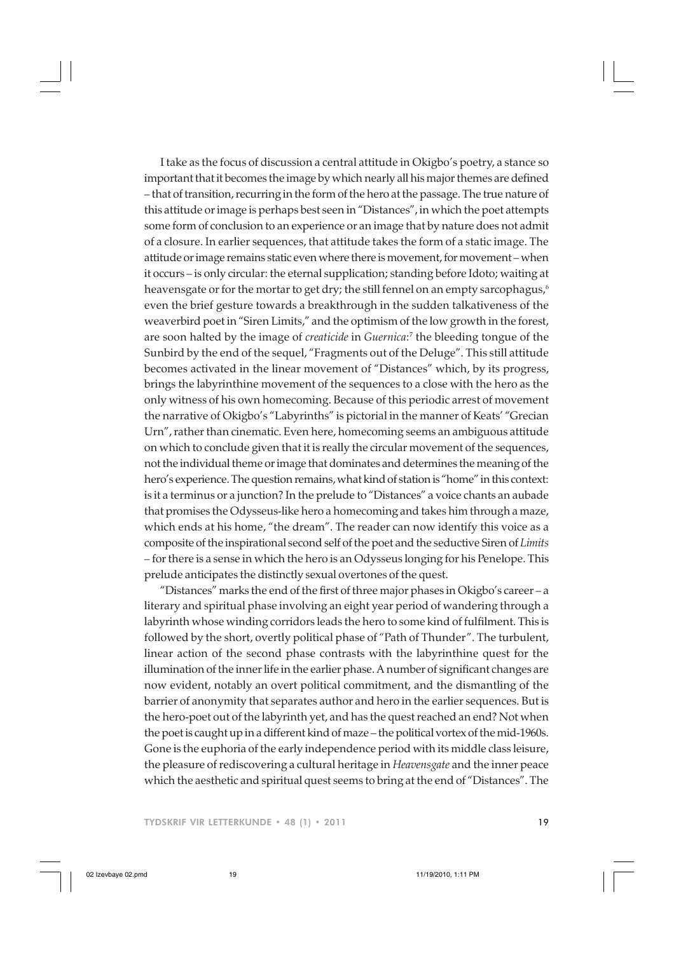I take as the focus of discussion a central attitude in Okigbo's poetry, a stance so important that it becomes the image by which nearly all his major themes are defined – that of transition, recurring in the form of the hero at the passage. The true nature of this attitude or image is perhaps best seen in "Distances", in which the poet attempts some form of conclusion to an experience or an image that by nature does not admit of a closure. In earlier sequences, that attitude takes the form of a static image. The attitude or image remains static even where there is movement, for movement – when it occurs – is only circular: the eternal supplication; standing before Idoto; waiting at heavensgate or for the mortar to get dry; the still fennel on an empty sarcophagus,<sup>6</sup> even the brief gesture towards a breakthrough in the sudden talkativeness of the weaverbird poet in "Siren Limits," and the optimism of the low growth in the forest, are soon halted by the image of *creaticide* in *Guernica*: 7 the bleeding tongue of the Sunbird by the end of the sequel, "Fragments out of the Deluge". This still attitude becomes activated in the linear movement of "Distances" which, by its progress, brings the labyrinthine movement of the sequences to a close with the hero as the only witness of his own homecoming. Because of this periodic arrest of movement the narrative of Okigbo's "Labyrinths" is pictorial in the manner of Keats' "Grecian Urn", rather than cinematic. Even here, homecoming seems an ambiguous attitude on which to conclude given that it is really the circular movement of the sequences, not the individual theme or image that dominates and determines the meaning of the hero's experience. The question remains, what kind of station is "home" in this context: is it a terminus or a junction? In the prelude to "Distances" a voice chants an aubade that promises the Odysseus-like hero a homecoming and takes him through a maze, which ends at his home, "the dream". The reader can now identify this voice as a composite of the inspirational second self of the poet and the seductive Siren of *Limits* – for there is a sense in which the hero is an Odysseus longing for his Penelope. This prelude anticipates the distinctly sexual overtones of the quest.

"Distances" marks the end of the first of three major phases in Okigbo's career – a literary and spiritual phase involving an eight year period of wandering through a labyrinth whose winding corridors leads the hero to some kind of fulfilment. This is followed by the short, overtly political phase of "Path of Thunder". The turbulent, linear action of the second phase contrasts with the labyrinthine quest for the illumination of the inner life in the earlier phase. A number of significant changes are now evident, notably an overt political commitment, and the dismantling of the barrier of anonymity that separates author and hero in the earlier sequences. But is the hero-poet out of the labyrinth yet, and has the quest reached an end? Not when the poet is caught up in a different kind of maze – the political vortex of the mid-1960s. Gone is the euphoria of the early independence period with its middle class leisure, the pleasure of rediscovering a cultural heritage in *Heavensgate* and the inner peace which the aesthetic and spiritual quest seems to bring at the end of "Distances". The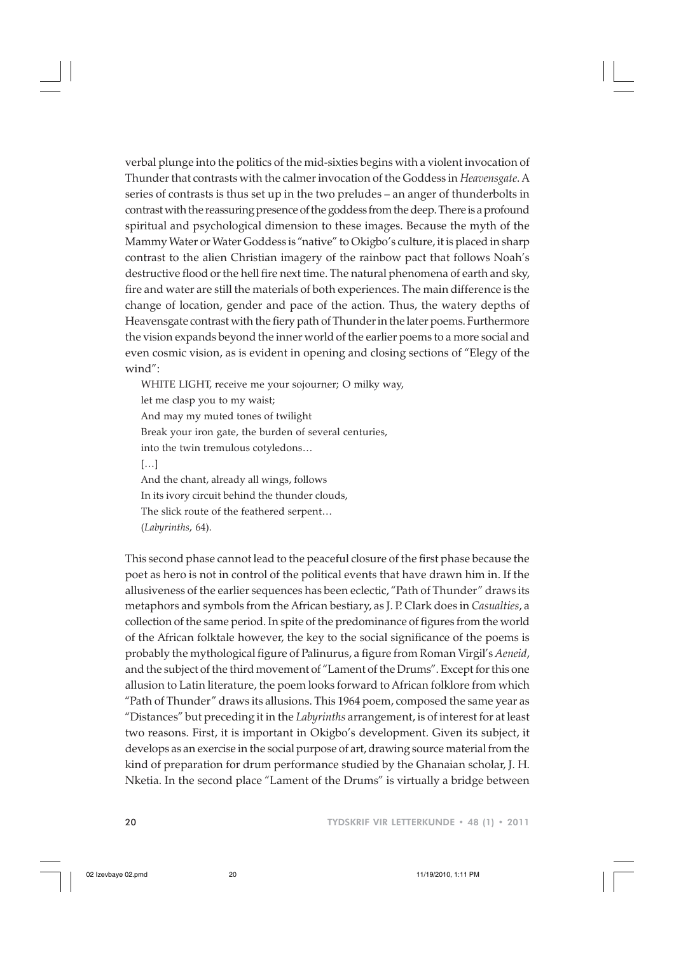verbal plunge into the politics of the mid-sixties begins with a violent invocation of Thunder that contrasts with the calmer invocation of the Goddess in *Heavensgate*. A series of contrasts is thus set up in the two preludes – an anger of thunderbolts in contrast with the reassuring presence of the goddess from the deep. There is a profound spiritual and psychological dimension to these images. Because the myth of the Mammy Water or Water Goddess is "native" to Okigbo's culture, it is placed in sharp contrast to the alien Christian imagery of the rainbow pact that follows Noah's destructive flood or the hell fire next time. The natural phenomena of earth and sky, fire and water are still the materials of both experiences. The main difference is the change of location, gender and pace of the action. Thus, the watery depths of Heavensgate contrast with the fiery path of Thunder in the later poems. Furthermore the vision expands beyond the inner world of the earlier poems to a more social and even cosmic vision, as is evident in opening and closing sections of "Elegy of the wind":

WHITE LIGHT, receive me your sojourner; O milky way, let me clasp you to my waist; And may my muted tones of twilight Break your iron gate, the burden of several centuries, into the twin tremulous cotyledons… […] And the chant, already all wings, follows In its ivory circuit behind the thunder clouds, The slick route of the feathered serpent… (*Labyrinths*, 64).

This second phase cannot lead to the peaceful closure of the first phase because the poet as hero is not in control of the political events that have drawn him in. If the allusiveness of the earlier sequences has been eclectic, "Path of Thunder" draws its metaphors and symbols from the African bestiary, as J. P. Clark does in *Casualties*, a collection of the same period. In spite of the predominance of figures from the world of the African folktale however, the key to the social significance of the poems is probably the mythological figure of Palinurus, a figure from Roman Virgil's *Aeneid*, and the subject of the third movement of "Lament of the Drums". Except for this one allusion to Latin literature, the poem looks forward to African folklore from which "Path of Thunder" draws its allusions. This 1964 poem, composed the same year as "Distances" but preceding it in the *Labyrinths* arrangement, is of interest for at least two reasons. First, it is important in Okigbo's development. Given its subject, it develops as an exercise in the social purpose of art, drawing source material from the kind of preparation for drum performance studied by the Ghanaian scholar, J. H. Nketia. In the second place "Lament of the Drums" is virtually a bridge between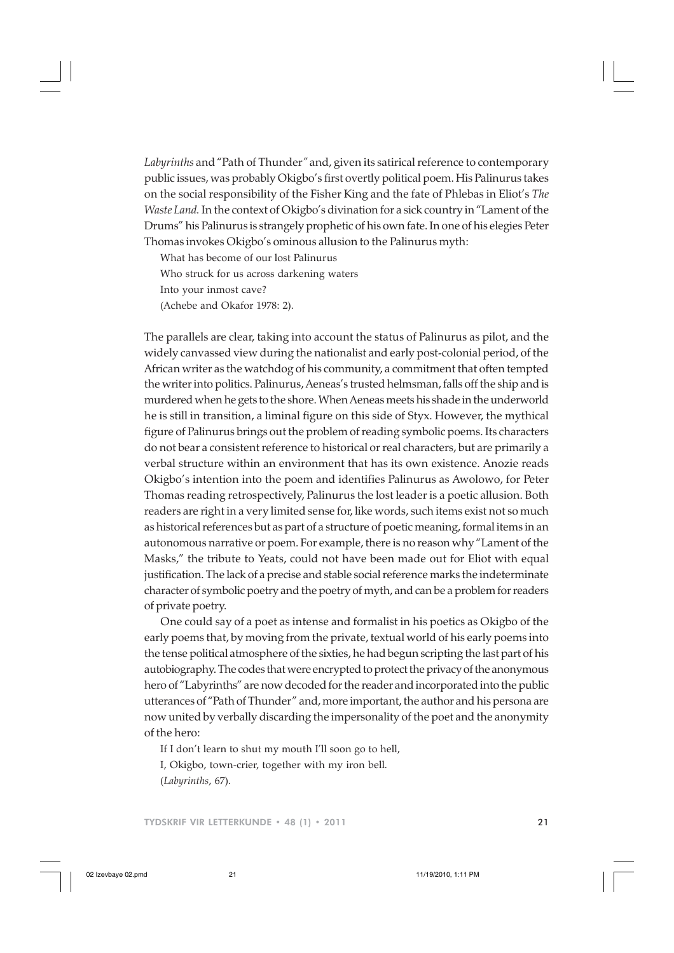*Labyrinths* and "Path of Thunder*"* and, given its satirical reference to contemporary public issues, was probably Okigbo's first overtly political poem. His Palinurus takes on the social responsibility of the Fisher King and the fate of Phlebas in Eliot's *The Waste Land.* In the context of Okigbo's divination for a sick country in "Lament of the Drums" his Palinurus is strangely prophetic of his own fate. In one of his elegies Peter Thomas invokes Okigbo's ominous allusion to the Palinurus myth:

What has become of our lost Palinurus Who struck for us across darkening waters Into your inmost cave? (Achebe and Okafor 1978: 2).

The parallels are clear, taking into account the status of Palinurus as pilot, and the widely canvassed view during the nationalist and early post-colonial period, of the African writer as the watchdog of his community, a commitment that often tempted the writer into politics. Palinurus, Aeneas's trusted helmsman, falls off the ship and is murdered when he gets to the shore. When Aeneas meets his shade in the underworld he is still in transition, a liminal figure on this side of Styx. However, the mythical figure of Palinurus brings out the problem of reading symbolic poems. Its characters do not bear a consistent reference to historical or real characters, but are primarily a verbal structure within an environment that has its own existence. Anozie reads Okigbo's intention into the poem and identifies Palinurus as Awolowo, for Peter Thomas reading retrospectively, Palinurus the lost leader is a poetic allusion. Both readers are right in a very limited sense for, like words, such items exist not so much as historical references but as part of a structure of poetic meaning, formal items in an autonomous narrative or poem. For example, there is no reason why "Lament of the Masks," the tribute to Yeats, could not have been made out for Eliot with equal justification. The lack of a precise and stable social reference marks the indeterminate character of symbolic poetry and the poetry of myth, and can be a problem for readers of private poetry.

One could say of a poet as intense and formalist in his poetics as Okigbo of the early poems that, by moving from the private, textual world of his early poems into the tense political atmosphere of the sixties, he had begun scripting the last part of his autobiography. The codes that were encrypted to protect the privacy of the anonymous hero of "Labyrinths" are now decoded for the reader and incorporated into the public utterances of "Path of Thunder" and, more important, the author and his persona are now united by verbally discarding the impersonality of the poet and the anonymity of the hero:

If I don't learn to shut my mouth I'll soon go to hell,

I, Okigbo, town-crier, together with my iron bell. (*Labyrinths*, 67).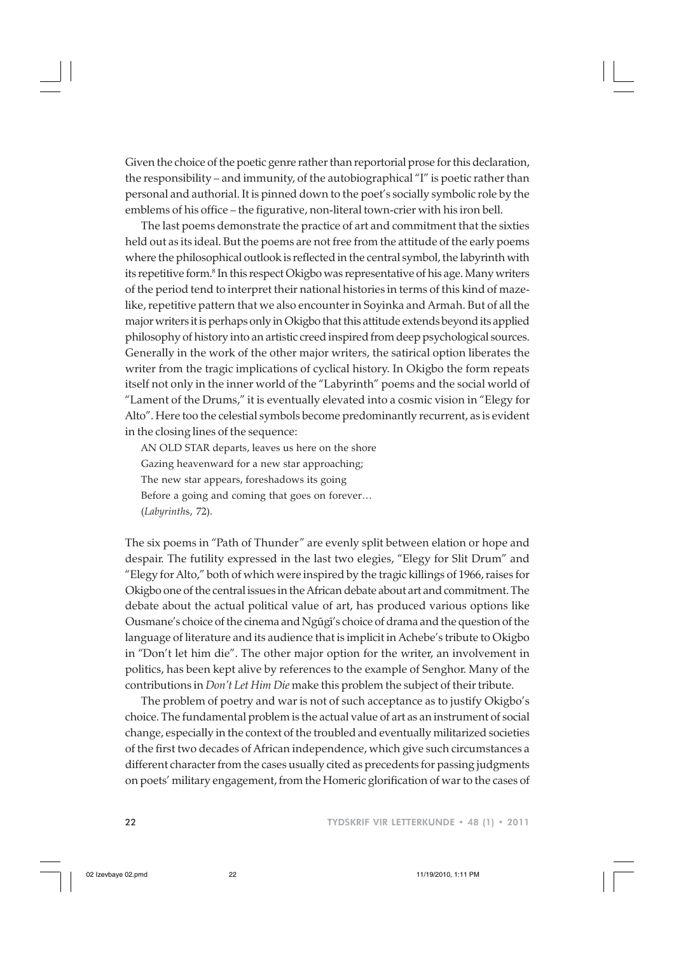Given the choice of the poetic genre rather than reportorial prose for this declaration, the responsibility – and immunity, of the autobiographical "I" is poetic rather than personal and authorial. It is pinned down to the poet's socially symbolic role by the emblems of his office – the figurative, non-literal town-crier with his iron bell.

The last poems demonstrate the practice of art and commitment that the sixties held out as its ideal. But the poems are not free from the attitude of the early poems where the philosophical outlook is reflected in the central symbol, the labyrinth with its repetitive form.<sup>8</sup> In this respect Okigbo was representative of his age. Many writers of the period tend to interpret their national histories in terms of this kind of mazelike, repetitive pattern that we also encounter in Soyinka and Armah. But of all the major writers it is perhaps only in Okigbo that this attitude extends beyond its applied philosophy of history into an artistic creed inspired from deep psychological sources. Generally in the work of the other major writers, the satirical option liberates the writer from the tragic implications of cyclical history. In Okigbo the form repeats itself not only in the inner world of the "Labyrinth" poems and the social world of "Lament of the Drums," it is eventually elevated into a cosmic vision in "Elegy for Alto". Here too the celestial symbols become predominantly recurrent, as is evident in the closing lines of the sequence:

AN OLD STAR departs, leaves us here on the shore Gazing heavenward for a new star approaching; The new star appears, foreshadows its going Before a going and coming that goes on forever… (*Labyrinth*s, 72).

The six poems in "Path of Thunder" are evenly split between elation or hope and despair. The futility expressed in the last two elegies, "Elegy for Slit Drum" and "Elegy for Alto," both of which were inspired by the tragic killings of 1966, raises for Okigbo one of the central issues in the African debate about art and commitment. The debate about the actual political value of art, has produced various options like Ousmane's choice of the cinema and Ngũgi's choice of drama and the question of the language of literature and its audience that is implicit in Achebe's tribute to Okigbo in "Don't let him die". The other major option for the writer, an involvement in politics, has been kept alive by references to the example of Senghor. Many of the contributions in *Don't Let Him Die* make this problem the subject of their tribute.

The problem of poetry and war is not of such acceptance as to justify Okigbo's choice. The fundamental problem is the actual value of art as an instrument of social change, especially in the context of the troubled and eventually militarized societies of the first two decades of African independence, which give such circumstances a different character from the cases usually cited as precedents for passing judgments on poets' military engagement, from the Homeric glorification of war to the cases of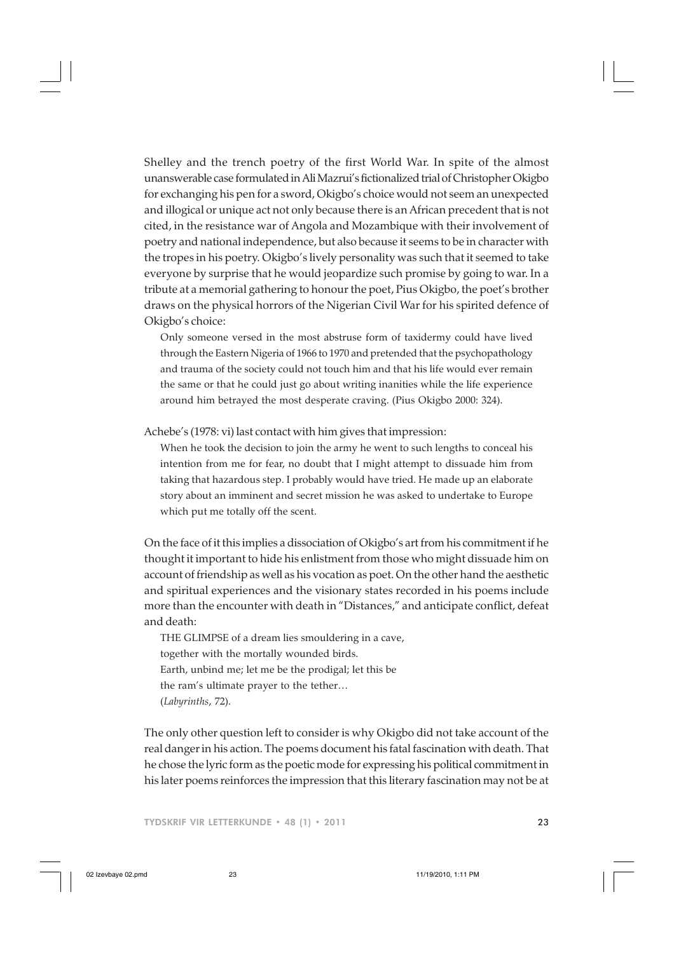Shelley and the trench poetry of the first World War. In spite of the almost unanswerable case formulated in Ali Mazrui's fictionalized trial of Christopher Okigbo for exchanging his pen for a sword, Okigbo's choice would not seem an unexpected and illogical or unique act not only because there is an African precedent that is not cited, in the resistance war of Angola and Mozambique with their involvement of poetry and national independence, but also because it seems to be in character with the tropes in his poetry. Okigbo's lively personality was such that it seemed to take everyone by surprise that he would jeopardize such promise by going to war. In a tribute at a memorial gathering to honour the poet, Pius Okigbo, the poet's brother draws on the physical horrors of the Nigerian Civil War for his spirited defence of Okigbo's choice:

Only someone versed in the most abstruse form of taxidermy could have lived through the Eastern Nigeria of 1966 to 1970 and pretended that the psychopathology and trauma of the society could not touch him and that his life would ever remain the same or that he could just go about writing inanities while the life experience around him betrayed the most desperate craving. (Pius Okigbo 2000: 324).

Achebe's (1978: vi) last contact with him gives that impression:

When he took the decision to join the army he went to such lengths to conceal his intention from me for fear, no doubt that I might attempt to dissuade him from taking that hazardous step. I probably would have tried. He made up an elaborate story about an imminent and secret mission he was asked to undertake to Europe which put me totally off the scent.

On the face of it this implies a dissociation of Okigbo's art from his commitment if he thought it important to hide his enlistment from those who might dissuade him on account of friendship as well as his vocation as poet. On the other hand the aesthetic and spiritual experiences and the visionary states recorded in his poems include more than the encounter with death in "Distances," and anticipate conflict, defeat and death:

THE GLIMPSE of a dream lies smouldering in a cave, together with the mortally wounded birds. Earth, unbind me; let me be the prodigal; let this be the ram's ultimate prayer to the tether… (*Labyrinths*, 72).

The only other question left to consider is why Okigbo did not take account of the real danger in his action. The poems document his fatal fascination with death. That he chose the lyric form as the poetic mode for expressing his political commitment in his later poems reinforces the impression that this literary fascination may not be at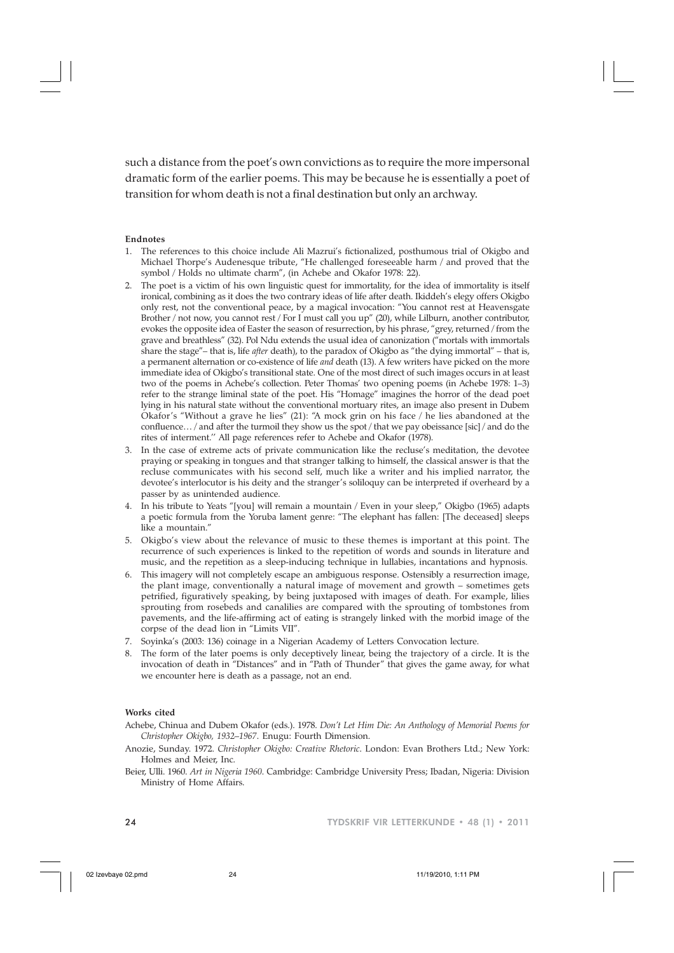such a distance from the poet's own convictions as to require the more impersonal dramatic form of the earlier poems. This may be because he is essentially a poet of transition for whom death is not a final destination but only an archway.

#### **Endnotes**

- 1. The references to this choice include Ali Mazrui's fictionalized, posthumous trial of Okigbo and Michael Thorpe's Audenesque tribute, "He challenged foreseeable harm / and proved that the symbol / Holds no ultimate charm", (in Achebe and Okafor 1978: 22).
- The poet is a victim of his own linguistic quest for immortality, for the idea of immortality is itself ironical, combining as it does the two contrary ideas of life after death. Ikiddeh's elegy offers Okigbo only rest, not the conventional peace, by a magical invocation: "You cannot rest at Heavensgate Brother / not now, you cannot rest / For I must call you up" (20), while Lilburn, another contributor, evokes the opposite idea of Easter the season of resurrection, by his phrase, "grey, returned / from the grave and breathless" (32). Pol Ndu extends the usual idea of canonization ("mortals with immortals share the stage"– that is, life *after* death), to the paradox of Okigbo as "the dying immortal" – that is, a permanent alternation or co-existence of life *and* death (13). A few writers have picked on the more immediate idea of Okigbo's transitional state. One of the most direct of such images occurs in at least two of the poems in Achebe's collection. Peter Thomas' two opening poems (in Achebe 1978: 1–3) refer to the strange liminal state of the poet. His "Homage" imagines the horror of the dead poet lying in his natural state without the conventional mortuary rites, an image also present in Dubem Okafor's "Without a grave he lies" (21): "A mock grin on his face / he lies abandoned at the confluence… / and after the turmoil they show us the spot / that we pay obeissance [sic] / and do the rites of interment.'' All page references refer to Achebe and Okafor (1978).
- 3. In the case of extreme acts of private communication like the recluse's meditation, the devotee praying or speaking in tongues and that stranger talking to himself, the classical answer is that the recluse communicates with his second self, much like a writer and his implied narrator, the devotee's interlocutor is his deity and the stranger's soliloquy can be interpreted if overheard by a passer by as unintended audience.
- 4. In his tribute to Yeats "[you] will remain a mountain / Even in your sleep," Okigbo (1965) adapts a poetic formula from the Yoruba lament genre: "The elephant has fallen: [The deceased] sleeps like a mountain."
- 5. Okigbo's view about the relevance of music to these themes is important at this point. The recurrence of such experiences is linked to the repetition of words and sounds in literature and music, and the repetition as a sleep-inducing technique in lullabies, incantations and hypnosis.
- 6. This imagery will not completely escape an ambiguous response. Ostensibly a resurrection image, the plant image, conventionally a natural image of movement and growth – sometimes gets petrified, figuratively speaking, by being juxtaposed with images of death. For example, lilies sprouting from rosebeds and canalilies are compared with the sprouting of tombstones from pavements, and the life-affirming act of eating is strangely linked with the morbid image of the corpse of the dead lion in "Limits VII".
- 7. Soyinka's (2003: 136) coinage in a Nigerian Academy of Letters Convocation lecture.
- The form of the later poems is only deceptively linear, being the trajectory of a circle. It is the invocation of death in "Distances" and in "Path of Thunder" that gives the game away, for what we encounter here is death as a passage, not an end.

#### **Works cited**

- Achebe, Chinua and Dubem Okafor (eds.). 1978. *Don't Let Him Die: An Anthology of Memorial Poems for Christopher Okigbo, 1932–1967*. Enugu: Fourth Dimension.
- Anozie, Sunday. 1972. *Christopher Okigbo: Creative Rhetoric*. London: Evan Brothers Ltd.; New York: Holmes and Meier, Inc.
- Beier, Ulli. 1960. *Art in Nigeria 1960*. Cambridge: Cambridge University Press; Ibadan, Nigeria: Division Ministry of Home Affairs.